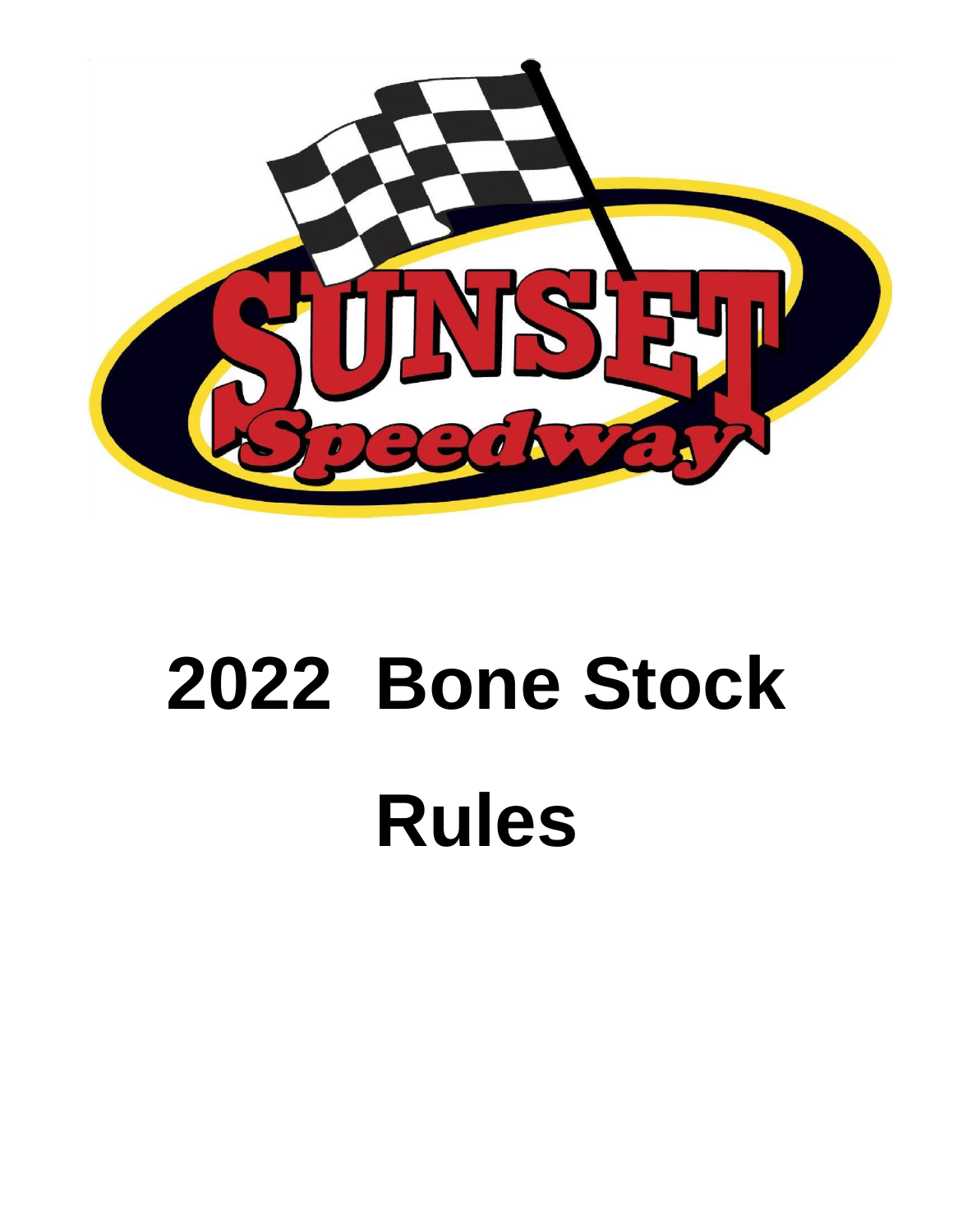

# **2022 Bone Stock Rules**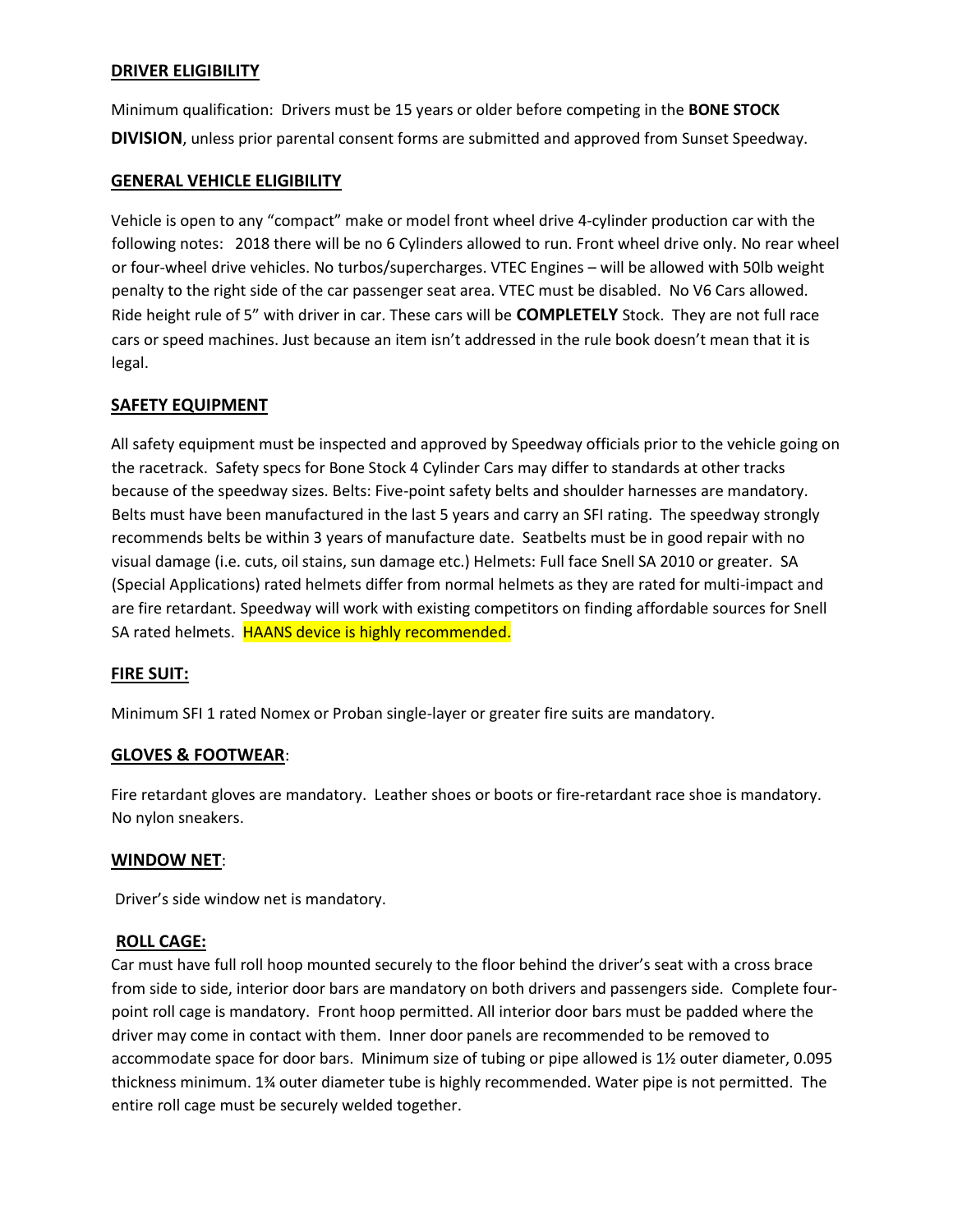# **DRIVER ELIGIBILITY**

Minimum qualification: Drivers must be 15 years or older before competing in the **BONE STOCK DIVISION**, unless prior parental consent forms are submitted and approved from Sunset Speedway.

# **GENERAL VEHICLE ELIGIBILITY**

Vehicle is open to any "compact" make or model front wheel drive 4-cylinder production car with the following notes: 2018 there will be no 6 Cylinders allowed to run. Front wheel drive only. No rear wheel or four-wheel drive vehicles. No turbos/supercharges. VTEC Engines – will be allowed with 50lb weight penalty to the right side of the car passenger seat area. VTEC must be disabled. No V6 Cars allowed. Ride height rule of 5" with driver in car. These cars will be **COMPLETELY** Stock. They are not full race cars or speed machines. Just because an item isn't addressed in the rule book doesn't mean that it is legal.

# **SAFETY EQUIPMENT**

All safety equipment must be inspected and approved by Speedway officials prior to the vehicle going on the racetrack. Safety specs for Bone Stock 4 Cylinder Cars may differ to standards at other tracks because of the speedway sizes. Belts: Five-point safety belts and shoulder harnesses are mandatory. Belts must have been manufactured in the last 5 years and carry an SFI rating. The speedway strongly recommends belts be within 3 years of manufacture date. Seatbelts must be in good repair with no visual damage (i.e. cuts, oil stains, sun damage etc.) Helmets: Full face Snell SA 2010 or greater. SA (Special Applications) rated helmets differ from normal helmets as they are rated for multi-impact and are fire retardant. Speedway will work with existing competitors on finding affordable sources for Snell SA rated helmets. HAANS device is highly recommended.

# **FIRE SUIT:**

Minimum SFI 1 rated Nomex or Proban single-layer or greater fire suits are mandatory.

# **GLOVES & FOOTWEAR**:

Fire retardant gloves are mandatory. Leather shoes or boots or fire-retardant race shoe is mandatory. No nylon sneakers.

#### **WINDOW NET**:

Driver's side window net is mandatory.

#### **ROLL CAGE:**

Car must have full roll hoop mounted securely to the floor behind the driver's seat with a cross brace from side to side, interior door bars are mandatory on both drivers and passengers side. Complete fourpoint roll cage is mandatory. Front hoop permitted. All interior door bars must be padded where the driver may come in contact with them. Inner door panels are recommended to be removed to accommodate space for door bars. Minimum size of tubing or pipe allowed is 1½ outer diameter, 0.095 thickness minimum. 1¾ outer diameter tube is highly recommended. Water pipe is not permitted. The entire roll cage must be securely welded together.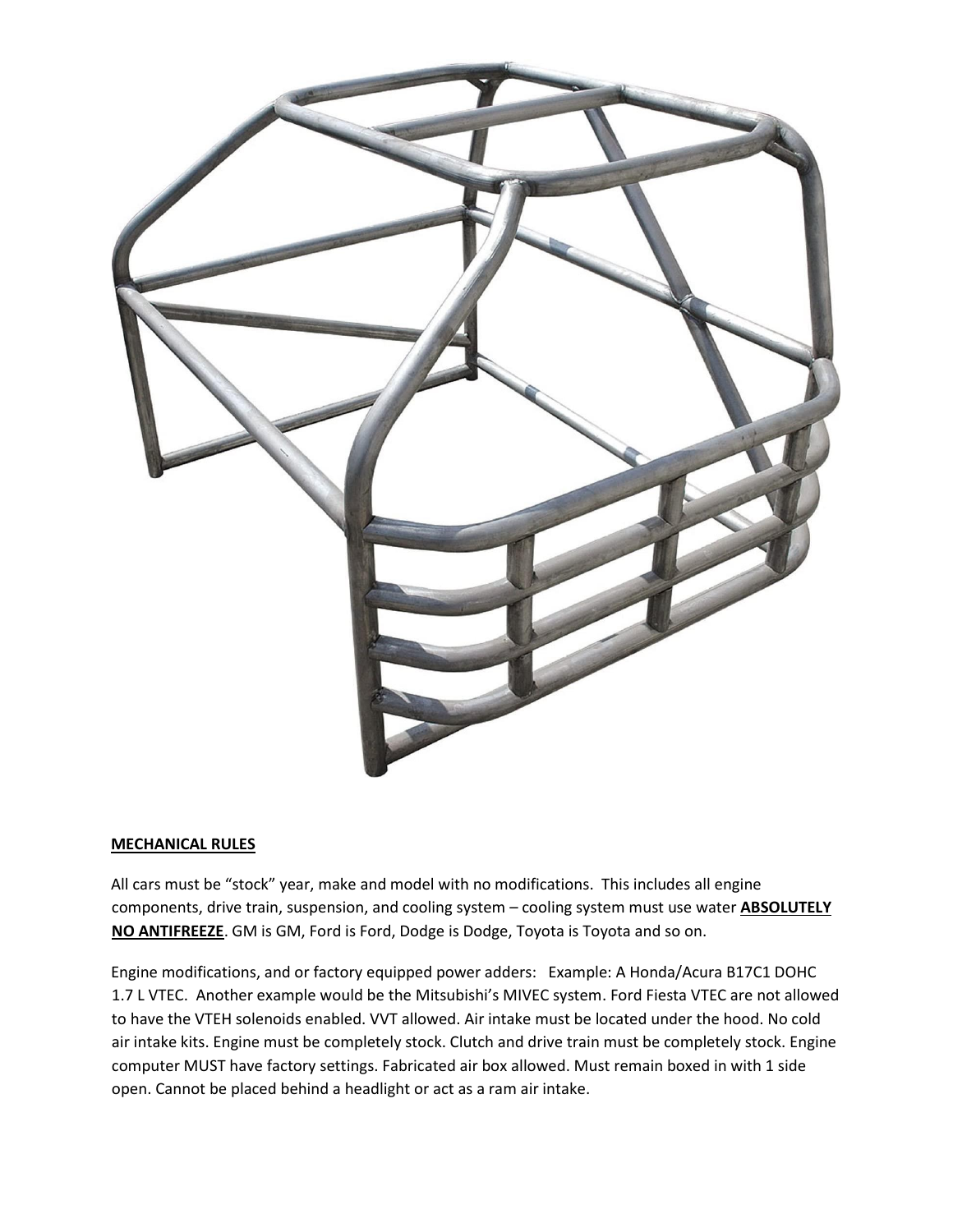

#### **MECHANICAL RULES**

All cars must be "stock" year, make and model with no modifications. This includes all engine components, drive train, suspension, and cooling system – cooling system must use water **ABSOLUTELY NO ANTIFREEZE**. GM is GM, Ford is Ford, Dodge is Dodge, Toyota is Toyota and so on.

Engine modifications, and or factory equipped power adders: Example: A Honda/Acura B17C1 DOHC 1.7 L VTEC. Another example would be the Mitsubishi's MIVEC system. Ford Fiesta VTEC are not allowed to have the VTEH solenoids enabled. VVT allowed. Air intake must be located under the hood. No cold air intake kits. Engine must be completely stock. Clutch and drive train must be completely stock. Engine computer MUST have factory settings. Fabricated air box allowed. Must remain boxed in with 1 side open. Cannot be placed behind a headlight or act as a ram air intake.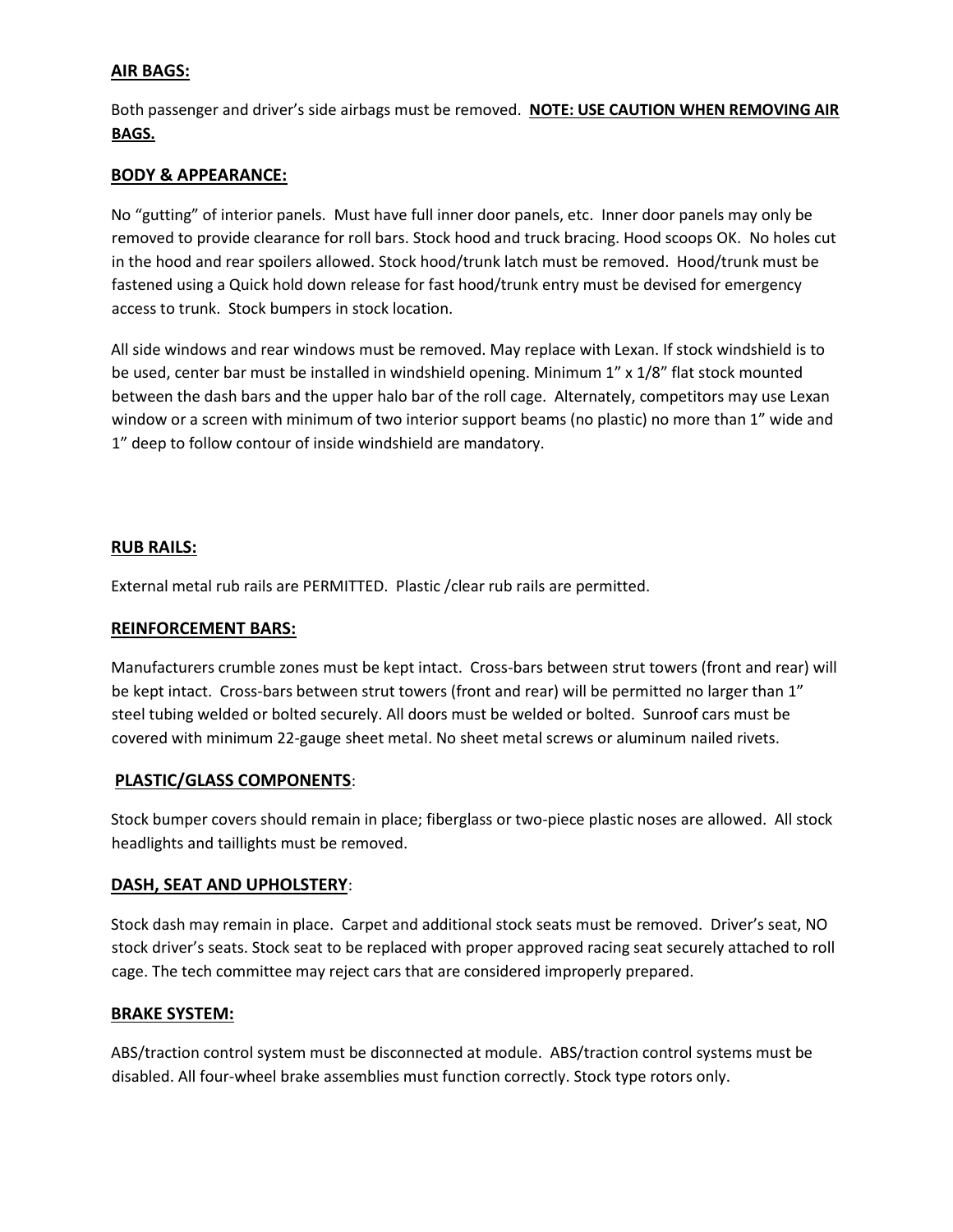# **AIR BAGS:**

Both passenger and driver's side airbags must be removed. **NOTE: USE CAUTION WHEN REMOVING AIR BAGS.**

## **BODY & APPEARANCE:**

No "gutting" of interior panels. Must have full inner door panels, etc. Inner door panels may only be removed to provide clearance for roll bars. Stock hood and truck bracing. Hood scoops OK. No holes cut in the hood and rear spoilers allowed. Stock hood/trunk latch must be removed. Hood/trunk must be fastened using a Quick hold down release for fast hood/trunk entry must be devised for emergency access to trunk. Stock bumpers in stock location.

All side windows and rear windows must be removed. May replace with Lexan. If stock windshield is to be used, center bar must be installed in windshield opening. Minimum 1" x 1/8" flat stock mounted between the dash bars and the upper halo bar of the roll cage. Alternately, competitors may use Lexan window or a screen with minimum of two interior support beams (no plastic) no more than 1" wide and 1" deep to follow contour of inside windshield are mandatory.

# **RUB RAILS:**

External metal rub rails are PERMITTED. Plastic /clear rub rails are permitted.

#### **REINFORCEMENT BARS:**

Manufacturers crumble zones must be kept intact. Cross-bars between strut towers (front and rear) will be kept intact. Cross-bars between strut towers (front and rear) will be permitted no larger than 1" steel tubing welded or bolted securely. All doors must be welded or bolted. Sunroof cars must be covered with minimum 22-gauge sheet metal. No sheet metal screws or aluminum nailed rivets.

#### **PLASTIC/GLASS COMPONENTS**:

Stock bumper covers should remain in place; fiberglass or two-piece plastic noses are allowed. All stock headlights and taillights must be removed.

#### **DASH, SEAT AND UPHOLSTERY**:

Stock dash may remain in place. Carpet and additional stock seats must be removed. Driver's seat, NO stock driver's seats. Stock seat to be replaced with proper approved racing seat securely attached to roll cage. The tech committee may reject cars that are considered improperly prepared.

#### **BRAKE SYSTEM:**

ABS/traction control system must be disconnected at module. ABS/traction control systems must be disabled. All four-wheel brake assemblies must function correctly. Stock type rotors only.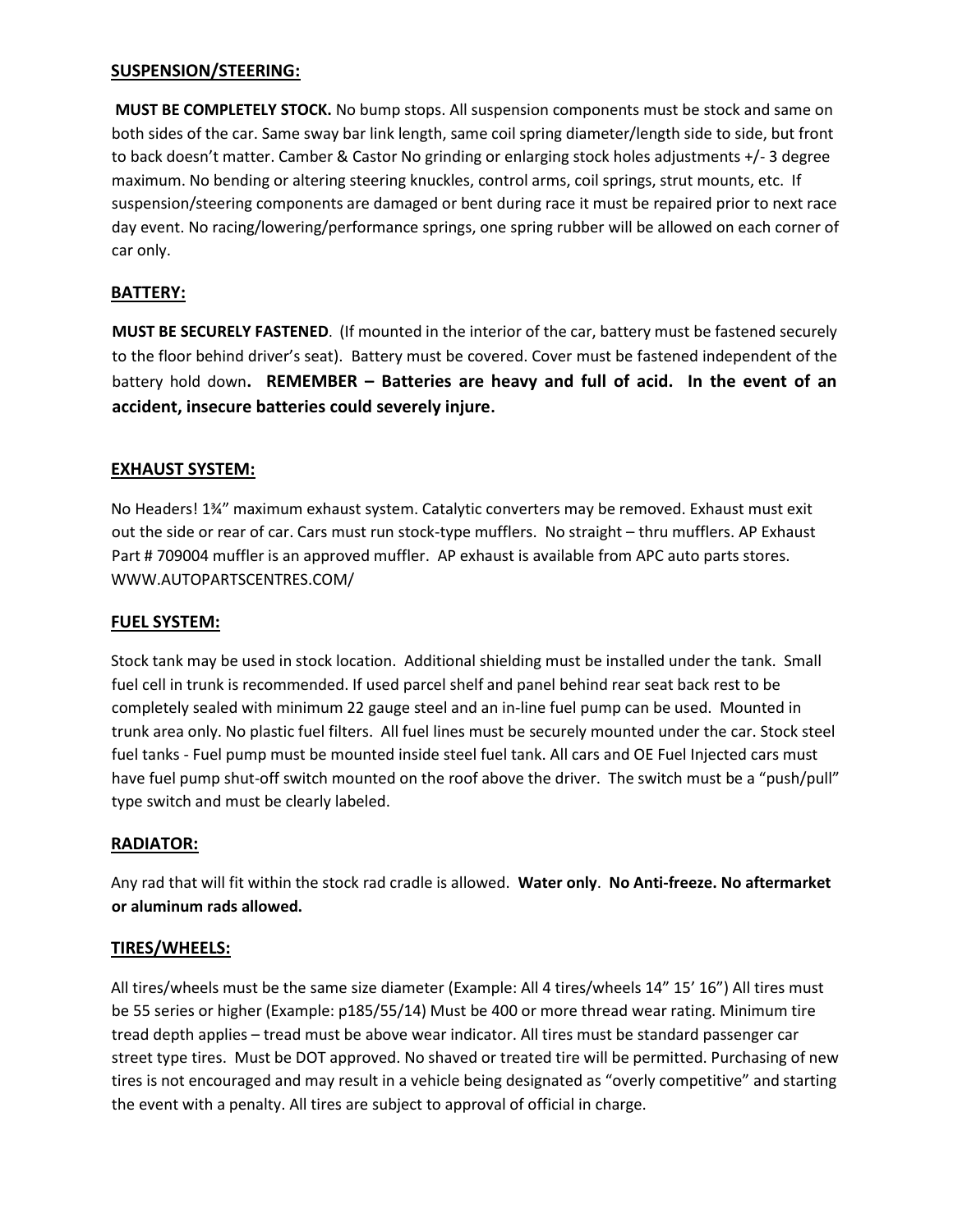## **SUSPENSION/STEERING:**

**MUST BE COMPLETELY STOCK.** No bump stops. All suspension components must be stock and same on both sides of the car. Same sway bar link length, same coil spring diameter/length side to side, but front to back doesn't matter. Camber & Castor No grinding or enlarging stock holes adjustments +/- 3 degree maximum. No bending or altering steering knuckles, control arms, coil springs, strut mounts, etc. If suspension/steering components are damaged or bent during race it must be repaired prior to next race day event. No racing/lowering/performance springs, one spring rubber will be allowed on each corner of car only.

# **BATTERY:**

**MUST BE SECURELY FASTENED**. (If mounted in the interior of the car, battery must be fastened securely to the floor behind driver's seat). Battery must be covered. Cover must be fastened independent of the battery hold down**. REMEMBER – Batteries are heavy and full of acid. In the event of an accident, insecure batteries could severely injure.** 

# **EXHAUST SYSTEM:**

No Headers! 1¾" maximum exhaust system. Catalytic converters may be removed. Exhaust must exit out the side or rear of car. Cars must run stock-type mufflers. No straight – thru mufflers. AP Exhaust Part # 709004 muffler is an approved muffler. AP exhaust is available from APC auto parts stores. WWW.AUTOPARTSCENTRES.COM/

#### **FUEL SYSTEM:**

Stock tank may be used in stock location. Additional shielding must be installed under the tank. Small fuel cell in trunk is recommended. If used parcel shelf and panel behind rear seat back rest to be completely sealed with minimum 22 gauge steel and an in-line fuel pump can be used. Mounted in trunk area only. No plastic fuel filters. All fuel lines must be securely mounted under the car. Stock steel fuel tanks - Fuel pump must be mounted inside steel fuel tank. All cars and OE Fuel Injected cars must have fuel pump shut-off switch mounted on the roof above the driver. The switch must be a "push/pull" type switch and must be clearly labeled.

#### **RADIATOR:**

Any rad that will fit within the stock rad cradle is allowed. **Water only**. **No Anti-freeze. No aftermarket or aluminum rads allowed.** 

#### **TIRES/WHEELS:**

All tires/wheels must be the same size diameter (Example: All 4 tires/wheels 14" 15' 16") All tires must be 55 series or higher (Example: p185/55/14) Must be 400 or more thread wear rating. Minimum tire tread depth applies – tread must be above wear indicator. All tires must be standard passenger car street type tires. Must be DOT approved. No shaved or treated tire will be permitted. Purchasing of new tires is not encouraged and may result in a vehicle being designated as "overly competitive" and starting the event with a penalty. All tires are subject to approval of official in charge.